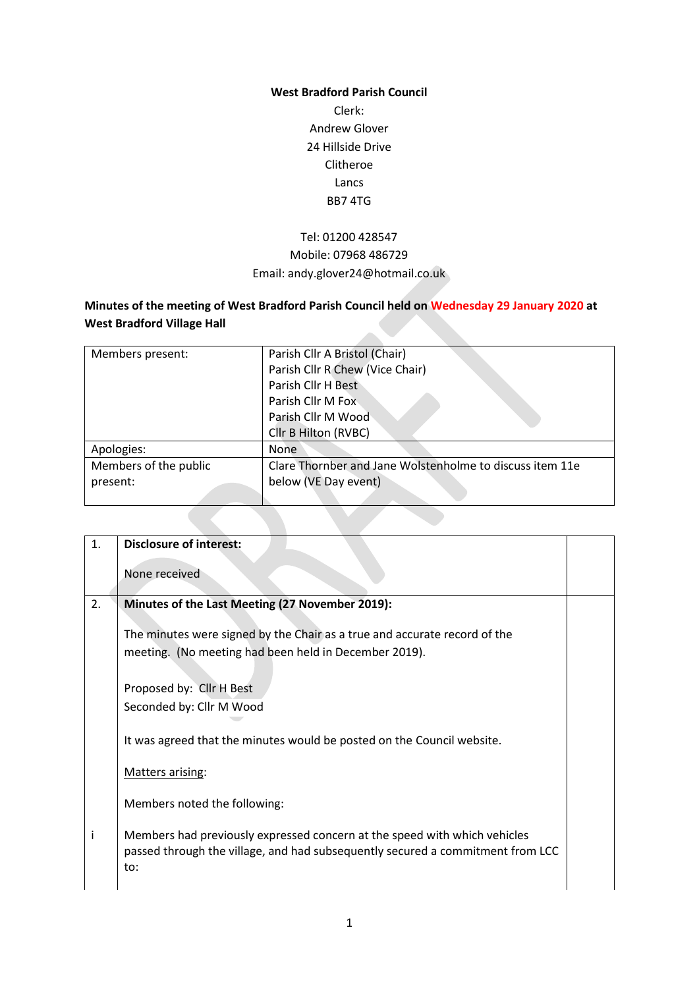### **West Bradford Parish Council**

Clerk: Andrew Glover 24 Hillside Drive Clitheroe Lancs BB7 4TG

# Tel: 01200 428547 Mobile: 07968 486729 Email: andy.glover24@hotmail.co.uk

## **Minutes of the meeting of West Bradford Parish Council held on Wednesday 29 January 2020 at West Bradford Village Hall**

| Members present:      | Parish Cllr A Bristol (Chair)                            |
|-----------------------|----------------------------------------------------------|
|                       | Parish Cllr R Chew (Vice Chair)                          |
|                       | Parish Cllr H Best                                       |
|                       | Parish Cllr M Fox                                        |
|                       | Parish Cllr M Wood                                       |
|                       | Cllr B Hilton (RVBC)                                     |
| Apologies:            | <b>None</b>                                              |
| Members of the public | Clare Thornber and Jane Wolstenholme to discuss item 11e |
| present:              | below (VE Day event)                                     |
|                       |                                                          |

| 1. | <b>Disclosure of interest:</b>                                                                                                                                     |  |
|----|--------------------------------------------------------------------------------------------------------------------------------------------------------------------|--|
|    | None received                                                                                                                                                      |  |
| 2. | Minutes of the Last Meeting (27 November 2019):                                                                                                                    |  |
|    | The minutes were signed by the Chair as a true and accurate record of the<br>meeting. (No meeting had been held in December 2019).                                 |  |
|    | Proposed by: Cllr H Best<br>Seconded by: Cllr M Wood                                                                                                               |  |
|    | It was agreed that the minutes would be posted on the Council website.                                                                                             |  |
|    | Matters arising:                                                                                                                                                   |  |
|    | Members noted the following:                                                                                                                                       |  |
| i  | Members had previously expressed concern at the speed with which vehicles<br>passed through the village, and had subsequently secured a commitment from LCC<br>to: |  |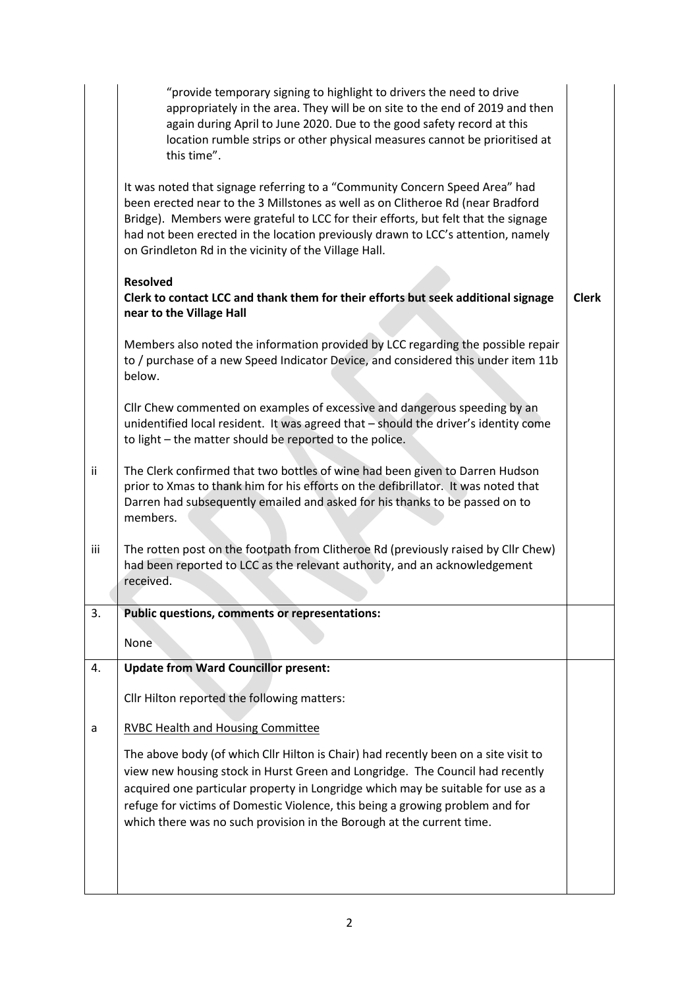|     | "provide temporary signing to highlight to drivers the need to drive<br>appropriately in the area. They will be on site to the end of 2019 and then<br>again during April to June 2020. Due to the good safety record at this<br>location rumble strips or other physical measures cannot be prioritised at<br>this time".                                                                                         |              |
|-----|--------------------------------------------------------------------------------------------------------------------------------------------------------------------------------------------------------------------------------------------------------------------------------------------------------------------------------------------------------------------------------------------------------------------|--------------|
|     | It was noted that signage referring to a "Community Concern Speed Area" had<br>been erected near to the 3 Millstones as well as on Clitheroe Rd (near Bradford<br>Bridge). Members were grateful to LCC for their efforts, but felt that the signage<br>had not been erected in the location previously drawn to LCC's attention, namely<br>on Grindleton Rd in the vicinity of the Village Hall.                  |              |
|     | <b>Resolved</b><br>Clerk to contact LCC and thank them for their efforts but seek additional signage<br>near to the Village Hall                                                                                                                                                                                                                                                                                   | <b>Clerk</b> |
|     | Members also noted the information provided by LCC regarding the possible repair<br>to / purchase of a new Speed Indicator Device, and considered this under item 11b<br>below.                                                                                                                                                                                                                                    |              |
|     | Cllr Chew commented on examples of excessive and dangerous speeding by an<br>unidentified local resident. It was agreed that - should the driver's identity come<br>to light – the matter should be reported to the police.                                                                                                                                                                                        |              |
| Ϊİ  | The Clerk confirmed that two bottles of wine had been given to Darren Hudson<br>prior to Xmas to thank him for his efforts on the defibrillator. It was noted that<br>Darren had subsequently emailed and asked for his thanks to be passed on to<br>members.                                                                                                                                                      |              |
| iii | The rotten post on the footpath from Clitheroe Rd (previously raised by Cllr Chew)<br>had been reported to LCC as the relevant authority, and an acknowledgement<br>received.                                                                                                                                                                                                                                      |              |
| 3.  | <b>Public questions, comments or representations:</b><br>None                                                                                                                                                                                                                                                                                                                                                      |              |
| 4.  | <b>Update from Ward Councillor present:</b>                                                                                                                                                                                                                                                                                                                                                                        |              |
|     | Cllr Hilton reported the following matters:                                                                                                                                                                                                                                                                                                                                                                        |              |
| a   | <b>RVBC Health and Housing Committee</b>                                                                                                                                                                                                                                                                                                                                                                           |              |
|     | The above body (of which Cllr Hilton is Chair) had recently been on a site visit to<br>view new housing stock in Hurst Green and Longridge. The Council had recently<br>acquired one particular property in Longridge which may be suitable for use as a<br>refuge for victims of Domestic Violence, this being a growing problem and for<br>which there was no such provision in the Borough at the current time. |              |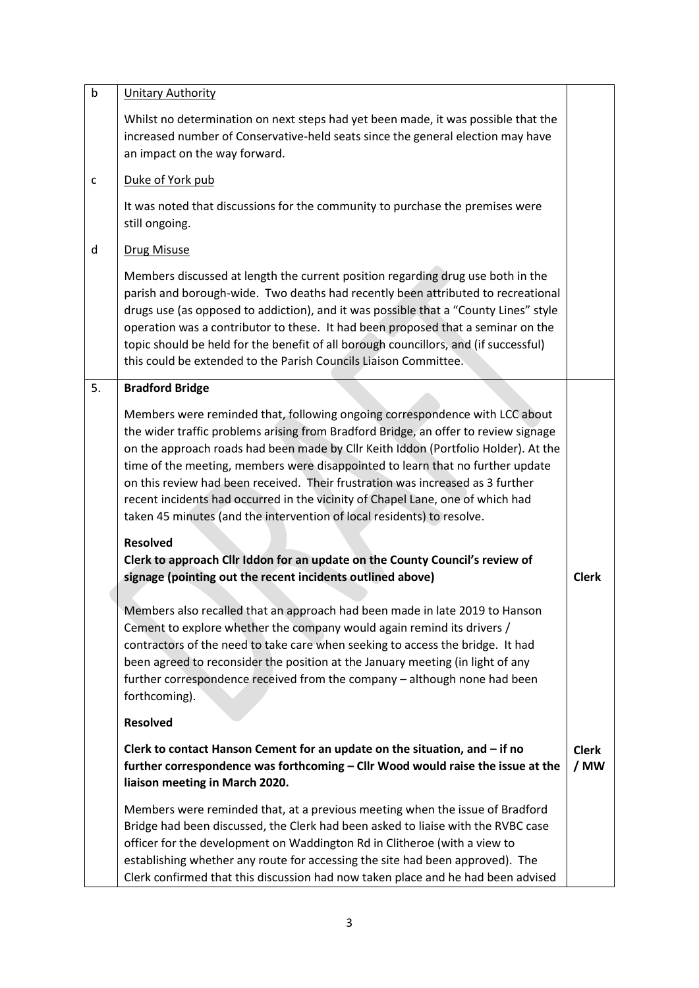| $\sf b$      | <b>Unitary Authority</b>                                                                                                                                                                                                                                                                                                                                                                                                                                                                                                                                                                 |                      |
|--------------|------------------------------------------------------------------------------------------------------------------------------------------------------------------------------------------------------------------------------------------------------------------------------------------------------------------------------------------------------------------------------------------------------------------------------------------------------------------------------------------------------------------------------------------------------------------------------------------|----------------------|
|              | Whilst no determination on next steps had yet been made, it was possible that the<br>increased number of Conservative-held seats since the general election may have<br>an impact on the way forward.                                                                                                                                                                                                                                                                                                                                                                                    |                      |
| $\mathsf{C}$ | Duke of York pub                                                                                                                                                                                                                                                                                                                                                                                                                                                                                                                                                                         |                      |
|              | It was noted that discussions for the community to purchase the premises were<br>still ongoing.                                                                                                                                                                                                                                                                                                                                                                                                                                                                                          |                      |
| d            | <b>Drug Misuse</b>                                                                                                                                                                                                                                                                                                                                                                                                                                                                                                                                                                       |                      |
|              | Members discussed at length the current position regarding drug use both in the<br>parish and borough-wide. Two deaths had recently been attributed to recreational<br>drugs use (as opposed to addiction), and it was possible that a "County Lines" style<br>operation was a contributor to these. It had been proposed that a seminar on the<br>topic should be held for the benefit of all borough councillors, and (if successful)<br>this could be extended to the Parish Councils Liaison Committee.                                                                              |                      |
| 5.           | <b>Bradford Bridge</b>                                                                                                                                                                                                                                                                                                                                                                                                                                                                                                                                                                   |                      |
|              | Members were reminded that, following ongoing correspondence with LCC about<br>the wider traffic problems arising from Bradford Bridge, an offer to review signage<br>on the approach roads had been made by Cllr Keith Iddon (Portfolio Holder). At the<br>time of the meeting, members were disappointed to learn that no further update<br>on this review had been received. Their frustration was increased as 3 further<br>recent incidents had occurred in the vicinity of Chapel Lane, one of which had<br>taken 45 minutes (and the intervention of local residents) to resolve. |                      |
|              | <b>Resolved</b>                                                                                                                                                                                                                                                                                                                                                                                                                                                                                                                                                                          |                      |
|              | Clerk to approach Cllr Iddon for an update on the County Council's review of<br>signage (pointing out the recent incidents outlined above)                                                                                                                                                                                                                                                                                                                                                                                                                                               | <b>Clerk</b>         |
|              | Members also recalled that an approach had been made in late 2019 to Hanson<br>Cement to explore whether the company would again remind its drivers /<br>contractors of the need to take care when seeking to access the bridge. It had<br>been agreed to reconsider the position at the January meeting (in light of any<br>further correspondence received from the company - although none had been<br>forthcoming).                                                                                                                                                                  |                      |
|              | <b>Resolved</b>                                                                                                                                                                                                                                                                                                                                                                                                                                                                                                                                                                          |                      |
|              | Clerk to contact Hanson Cement for an update on the situation, and - if no<br>further correspondence was forthcoming - Cllr Wood would raise the issue at the<br>liaison meeting in March 2020.                                                                                                                                                                                                                                                                                                                                                                                          | <b>Clerk</b><br>/ MW |
|              | Members were reminded that, at a previous meeting when the issue of Bradford<br>Bridge had been discussed, the Clerk had been asked to liaise with the RVBC case<br>officer for the development on Waddington Rd in Clitheroe (with a view to<br>establishing whether any route for accessing the site had been approved). The<br>Clerk confirmed that this discussion had now taken place and he had been advised                                                                                                                                                                       |                      |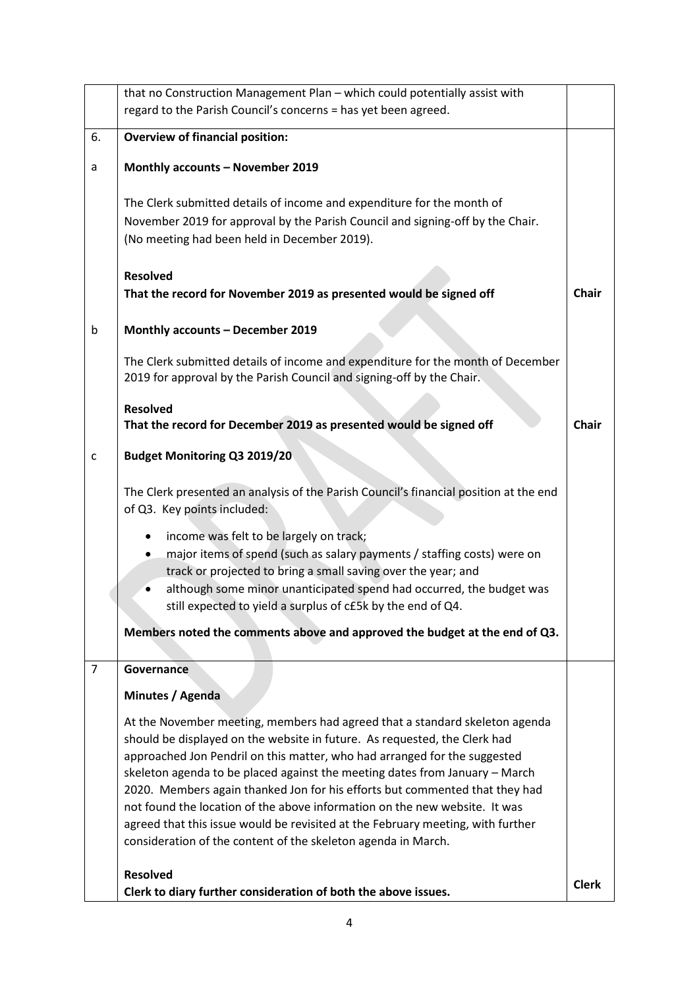|                | that no Construction Management Plan - which could potentially assist with<br>regard to the Parish Council's concerns = has yet been agreed.                                                                                                                                                                                                                                                                                                                                                                                                                                                                                          |              |
|----------------|---------------------------------------------------------------------------------------------------------------------------------------------------------------------------------------------------------------------------------------------------------------------------------------------------------------------------------------------------------------------------------------------------------------------------------------------------------------------------------------------------------------------------------------------------------------------------------------------------------------------------------------|--------------|
|                |                                                                                                                                                                                                                                                                                                                                                                                                                                                                                                                                                                                                                                       |              |
| 6.             | <b>Overview of financial position:</b>                                                                                                                                                                                                                                                                                                                                                                                                                                                                                                                                                                                                |              |
| a              | Monthly accounts - November 2019                                                                                                                                                                                                                                                                                                                                                                                                                                                                                                                                                                                                      |              |
|                | The Clerk submitted details of income and expenditure for the month of<br>November 2019 for approval by the Parish Council and signing-off by the Chair.<br>(No meeting had been held in December 2019).                                                                                                                                                                                                                                                                                                                                                                                                                              |              |
|                | <b>Resolved</b><br>That the record for November 2019 as presented would be signed off                                                                                                                                                                                                                                                                                                                                                                                                                                                                                                                                                 | <b>Chair</b> |
| b              | Monthly accounts - December 2019                                                                                                                                                                                                                                                                                                                                                                                                                                                                                                                                                                                                      |              |
|                | The Clerk submitted details of income and expenditure for the month of December<br>2019 for approval by the Parish Council and signing-off by the Chair.                                                                                                                                                                                                                                                                                                                                                                                                                                                                              |              |
|                | <b>Resolved</b><br>That the record for December 2019 as presented would be signed off                                                                                                                                                                                                                                                                                                                                                                                                                                                                                                                                                 | <b>Chair</b> |
| c              | <b>Budget Monitoring Q3 2019/20</b>                                                                                                                                                                                                                                                                                                                                                                                                                                                                                                                                                                                                   |              |
|                | The Clerk presented an analysis of the Parish Council's financial position at the end<br>of Q3. Key points included:                                                                                                                                                                                                                                                                                                                                                                                                                                                                                                                  |              |
|                | income was felt to be largely on track;<br>major items of spend (such as salary payments / staffing costs) were on<br>track or projected to bring a small saving over the year; and<br>although some minor unanticipated spend had occurred, the budget was<br>still expected to yield a surplus of c£5k by the end of Q4.                                                                                                                                                                                                                                                                                                            |              |
|                | Members noted the comments above and approved the budget at the end of Q3.                                                                                                                                                                                                                                                                                                                                                                                                                                                                                                                                                            |              |
| $\overline{7}$ | Governance                                                                                                                                                                                                                                                                                                                                                                                                                                                                                                                                                                                                                            |              |
|                | Minutes / Agenda                                                                                                                                                                                                                                                                                                                                                                                                                                                                                                                                                                                                                      |              |
|                | At the November meeting, members had agreed that a standard skeleton agenda<br>should be displayed on the website in future. As requested, the Clerk had<br>approached Jon Pendril on this matter, who had arranged for the suggested<br>skeleton agenda to be placed against the meeting dates from January - March<br>2020. Members again thanked Jon for his efforts but commented that they had<br>not found the location of the above information on the new website. It was<br>agreed that this issue would be revisited at the February meeting, with further<br>consideration of the content of the skeleton agenda in March. |              |
|                | <b>Resolved</b><br>Clerk to diary further consideration of both the above issues.                                                                                                                                                                                                                                                                                                                                                                                                                                                                                                                                                     | <b>Clerk</b> |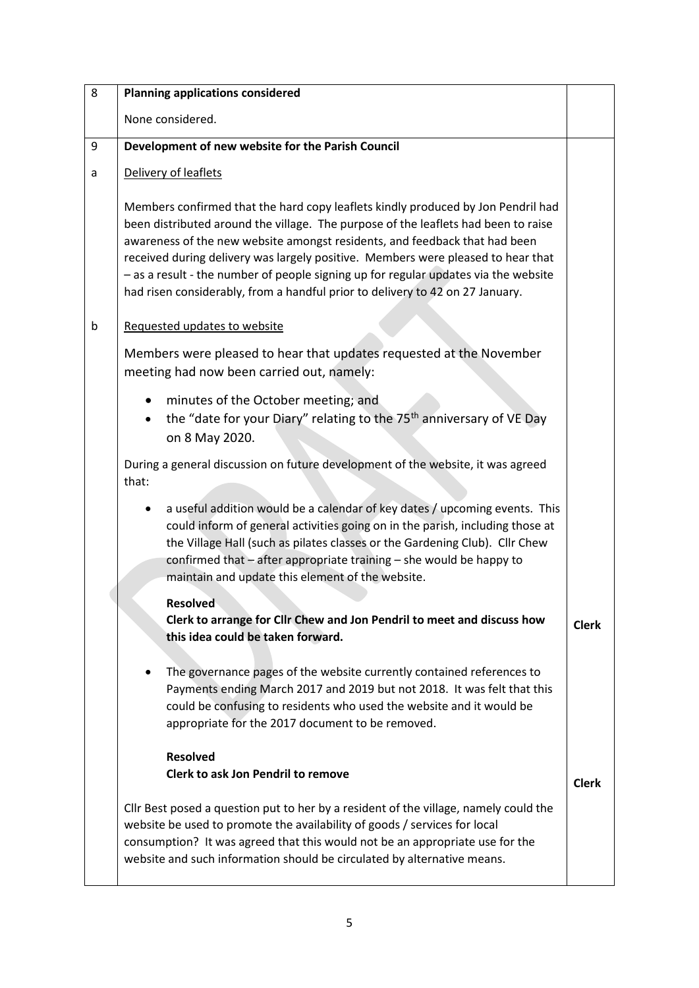| 8 | <b>Planning applications considered</b>                                                                                                                                                                                                                                                                                                                                                                                                                                                                          |              |  |
|---|------------------------------------------------------------------------------------------------------------------------------------------------------------------------------------------------------------------------------------------------------------------------------------------------------------------------------------------------------------------------------------------------------------------------------------------------------------------------------------------------------------------|--------------|--|
|   | None considered.                                                                                                                                                                                                                                                                                                                                                                                                                                                                                                 |              |  |
| 9 | Development of new website for the Parish Council                                                                                                                                                                                                                                                                                                                                                                                                                                                                |              |  |
| a | Delivery of leaflets                                                                                                                                                                                                                                                                                                                                                                                                                                                                                             |              |  |
|   | Members confirmed that the hard copy leaflets kindly produced by Jon Pendril had<br>been distributed around the village. The purpose of the leaflets had been to raise<br>awareness of the new website amongst residents, and feedback that had been<br>received during delivery was largely positive. Members were pleased to hear that<br>- as a result - the number of people signing up for regular updates via the website<br>had risen considerably, from a handful prior to delivery to 42 on 27 January. |              |  |
| b | Requested updates to website                                                                                                                                                                                                                                                                                                                                                                                                                                                                                     |              |  |
|   | Members were pleased to hear that updates requested at the November<br>meeting had now been carried out, namely:                                                                                                                                                                                                                                                                                                                                                                                                 |              |  |
|   | minutes of the October meeting; and<br>the "date for your Diary" relating to the 75 <sup>th</sup> anniversary of VE Day<br>on 8 May 2020.                                                                                                                                                                                                                                                                                                                                                                        |              |  |
|   | During a general discussion on future development of the website, it was agreed<br>that:                                                                                                                                                                                                                                                                                                                                                                                                                         |              |  |
|   | a useful addition would be a calendar of key dates / upcoming events. This<br>could inform of general activities going on in the parish, including those at<br>the Village Hall (such as pilates classes or the Gardening Club). Cllr Chew<br>confirmed that - after appropriate training - she would be happy to<br>maintain and update this element of the website.                                                                                                                                            |              |  |
|   | <b>Resolved</b><br>Clerk to arrange for Cllr Chew and Jon Pendril to meet and discuss how<br>this idea could be taken forward.                                                                                                                                                                                                                                                                                                                                                                                   | <b>Clerk</b> |  |
|   | The governance pages of the website currently contained references to<br>Payments ending March 2017 and 2019 but not 2018. It was felt that this<br>could be confusing to residents who used the website and it would be<br>appropriate for the 2017 document to be removed.                                                                                                                                                                                                                                     |              |  |
|   | <b>Resolved</b><br><b>Clerk to ask Jon Pendril to remove</b>                                                                                                                                                                                                                                                                                                                                                                                                                                                     | <b>Clerk</b> |  |
|   | Cllr Best posed a question put to her by a resident of the village, namely could the<br>website be used to promote the availability of goods / services for local<br>consumption? It was agreed that this would not be an appropriate use for the<br>website and such information should be circulated by alternative means.                                                                                                                                                                                     |              |  |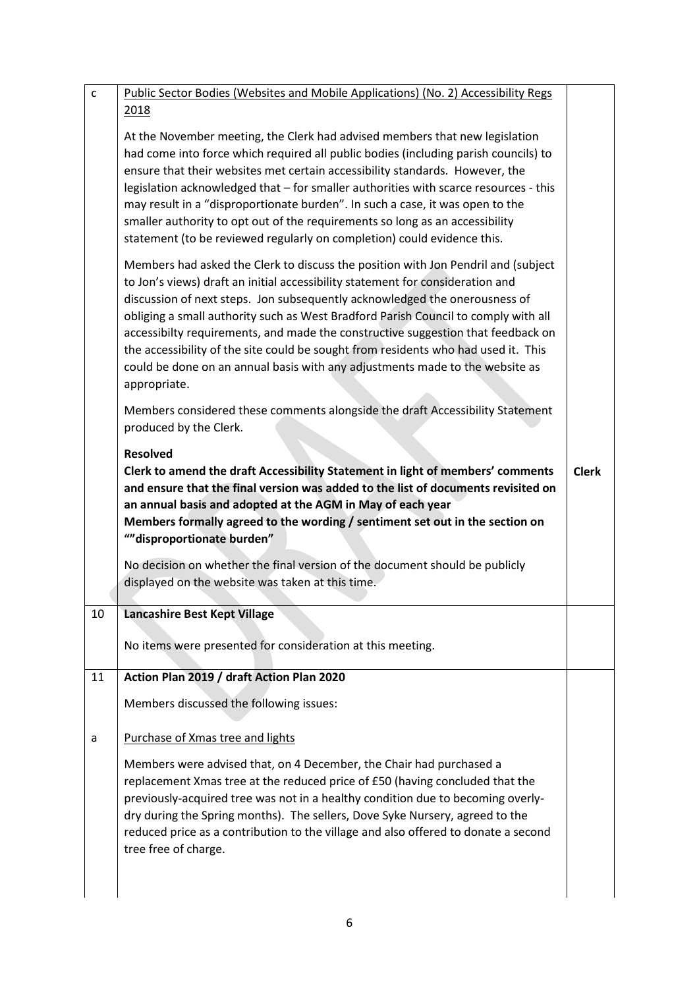| $\mathsf{C}$ | Public Sector Bodies (Websites and Mobile Applications) (No. 2) Accessibility Regs                                                                                                                                                                                                                                                                                                                                                                                                                                                                                                                                |              |
|--------------|-------------------------------------------------------------------------------------------------------------------------------------------------------------------------------------------------------------------------------------------------------------------------------------------------------------------------------------------------------------------------------------------------------------------------------------------------------------------------------------------------------------------------------------------------------------------------------------------------------------------|--------------|
|              | 2018<br>At the November meeting, the Clerk had advised members that new legislation<br>had come into force which required all public bodies (including parish councils) to<br>ensure that their websites met certain accessibility standards. However, the<br>legislation acknowledged that - for smaller authorities with scarce resources - this<br>may result in a "disproportionate burden". In such a case, it was open to the<br>smaller authority to opt out of the requirements so long as an accessibility<br>statement (to be reviewed regularly on completion) could evidence this.                    |              |
|              | Members had asked the Clerk to discuss the position with Jon Pendril and (subject<br>to Jon's views) draft an initial accessibility statement for consideration and<br>discussion of next steps. Jon subsequently acknowledged the onerousness of<br>obliging a small authority such as West Bradford Parish Council to comply with all<br>accessibilty requirements, and made the constructive suggestion that feedback on<br>the accessibility of the site could be sought from residents who had used it. This<br>could be done on an annual basis with any adjustments made to the website as<br>appropriate. |              |
|              | Members considered these comments alongside the draft Accessibility Statement<br>produced by the Clerk.                                                                                                                                                                                                                                                                                                                                                                                                                                                                                                           |              |
|              | <b>Resolved</b><br>Clerk to amend the draft Accessibility Statement in light of members' comments                                                                                                                                                                                                                                                                                                                                                                                                                                                                                                                 | <b>Clerk</b> |
|              | and ensure that the final version was added to the list of documents revisited on<br>an annual basis and adopted at the AGM in May of each year<br>Members formally agreed to the wording / sentiment set out in the section on<br>""disproportionate burden"                                                                                                                                                                                                                                                                                                                                                     |              |
|              | No decision on whether the final version of the document should be publicly<br>displayed on the website was taken at this time.                                                                                                                                                                                                                                                                                                                                                                                                                                                                                   |              |
| 10           | Lancashire Best Kept Village                                                                                                                                                                                                                                                                                                                                                                                                                                                                                                                                                                                      |              |
|              | No items were presented for consideration at this meeting.                                                                                                                                                                                                                                                                                                                                                                                                                                                                                                                                                        |              |
| 11           | Action Plan 2019 / draft Action Plan 2020                                                                                                                                                                                                                                                                                                                                                                                                                                                                                                                                                                         |              |
|              | Members discussed the following issues:                                                                                                                                                                                                                                                                                                                                                                                                                                                                                                                                                                           |              |
| a            | Purchase of Xmas tree and lights                                                                                                                                                                                                                                                                                                                                                                                                                                                                                                                                                                                  |              |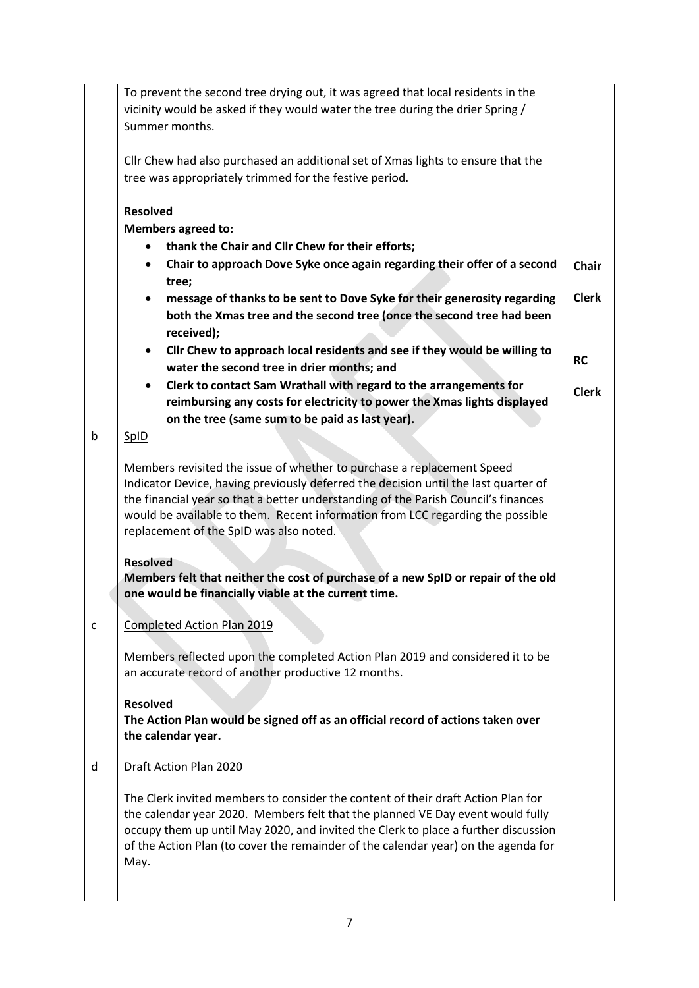|   | To prevent the second tree drying out, it was agreed that local residents in the<br>vicinity would be asked if they would water the tree during the drier Spring /<br>Summer months.                                                                                                                                                                                                                                                                                                                                                                                                                                                              |                                                           |
|---|---------------------------------------------------------------------------------------------------------------------------------------------------------------------------------------------------------------------------------------------------------------------------------------------------------------------------------------------------------------------------------------------------------------------------------------------------------------------------------------------------------------------------------------------------------------------------------------------------------------------------------------------------|-----------------------------------------------------------|
|   | Cllr Chew had also purchased an additional set of Xmas lights to ensure that the<br>tree was appropriately trimmed for the festive period.                                                                                                                                                                                                                                                                                                                                                                                                                                                                                                        |                                                           |
|   | <b>Resolved</b><br><b>Members agreed to:</b><br>thank the Chair and Cllr Chew for their efforts;<br>Chair to approach Dove Syke once again regarding their offer of a second<br>tree;<br>message of thanks to be sent to Dove Syke for their generosity regarding<br>both the Xmas tree and the second tree (once the second tree had been<br>received);<br>Cllr Chew to approach local residents and see if they would be willing to<br>$\bullet$<br>water the second tree in drier months; and<br>Clerk to contact Sam Wrathall with regard to the arrangements for<br>reimbursing any costs for electricity to power the Xmas lights displayed | <b>Chair</b><br><b>Clerk</b><br><b>RC</b><br><b>Clerk</b> |
| b | on the tree (same sum to be paid as last year).<br><b>SpID</b>                                                                                                                                                                                                                                                                                                                                                                                                                                                                                                                                                                                    |                                                           |
|   | Members revisited the issue of whether to purchase a replacement Speed<br>Indicator Device, having previously deferred the decision until the last quarter of<br>the financial year so that a better understanding of the Parish Council's finances<br>would be available to them. Recent information from LCC regarding the possible<br>replacement of the SpID was also noted.<br><b>Resolved</b><br>Members felt that neither the cost of purchase of a new SpID or repair of the old<br>one would be financially viable at the current time.                                                                                                  |                                                           |
| c | Completed Action Plan 2019                                                                                                                                                                                                                                                                                                                                                                                                                                                                                                                                                                                                                        |                                                           |
|   | Members reflected upon the completed Action Plan 2019 and considered it to be<br>an accurate record of another productive 12 months.                                                                                                                                                                                                                                                                                                                                                                                                                                                                                                              |                                                           |
|   | <b>Resolved</b><br>The Action Plan would be signed off as an official record of actions taken over<br>the calendar year.                                                                                                                                                                                                                                                                                                                                                                                                                                                                                                                          |                                                           |
| d | Draft Action Plan 2020                                                                                                                                                                                                                                                                                                                                                                                                                                                                                                                                                                                                                            |                                                           |
|   | The Clerk invited members to consider the content of their draft Action Plan for<br>the calendar year 2020. Members felt that the planned VE Day event would fully<br>occupy them up until May 2020, and invited the Clerk to place a further discussion<br>of the Action Plan (to cover the remainder of the calendar year) on the agenda for<br>May.                                                                                                                                                                                                                                                                                            |                                                           |
|   |                                                                                                                                                                                                                                                                                                                                                                                                                                                                                                                                                                                                                                                   |                                                           |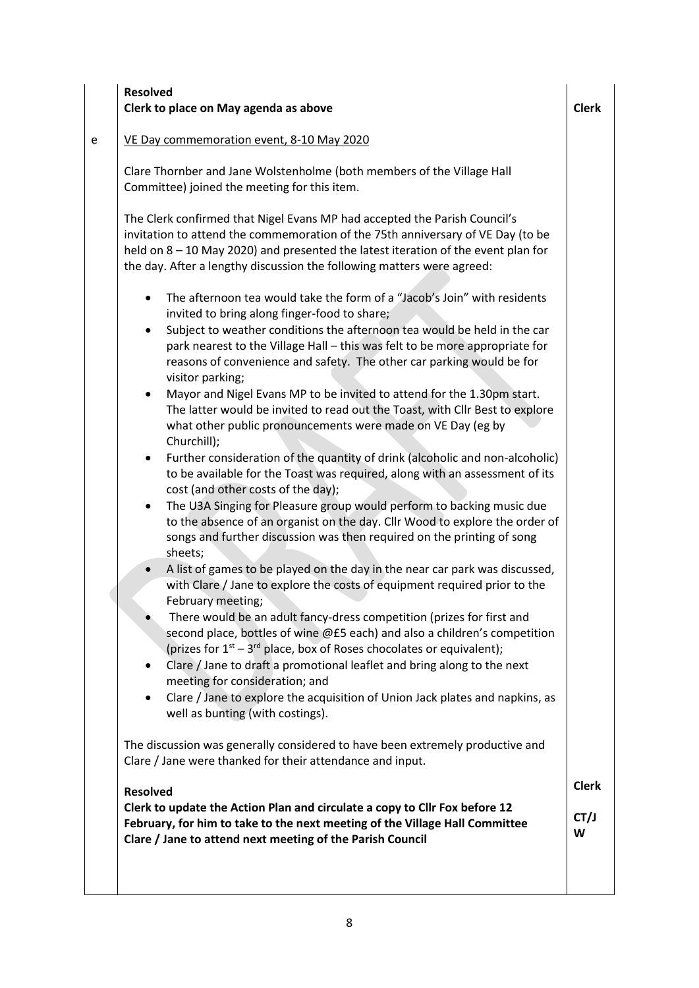### **Resolved Clerk to place on May agenda as above Clerk** Clerk Clerk

### e | VE Day commemoration event, 8-10 May 2020

Clare Thornber and Jane Wolstenholme (both members of the Village Hall Committee) joined the meeting for this item.

The Clerk confirmed that Nigel Evans MP had accepted the Parish Council's invitation to attend the commemoration of the 75th anniversary of VE Day (to be held on 8 – 10 May 2020) and presented the latest iteration of the event plan for the day. After a lengthy discussion the following matters were agreed:

- The afternoon tea would take the form of a "Jacob's Join" with residents invited to bring along finger-food to share;
- Subject to weather conditions the afternoon tea would be held in the car park nearest to the Village Hall – this was felt to be more appropriate for reasons of convenience and safety. The other car parking would be for visitor parking;
- Mayor and Nigel Evans MP to be invited to attend for the 1.30pm start. The latter would be invited to read out the Toast, with Cllr Best to explore what other public pronouncements were made on VE Day (eg by Churchill);
- Further consideration of the quantity of drink (alcoholic and non-alcoholic) to be available for the Toast was required, along with an assessment of its cost (and other costs of the day);
- The U3A Singing for Pleasure group would perform to backing music due to the absence of an organist on the day. Cllr Wood to explore the order of songs and further discussion was then required on the printing of song sheets;
- A list of games to be played on the day in the near car park was discussed, with Clare / Jane to explore the costs of equipment required prior to the February meeting;
- There would be an adult fancy-dress competition (prizes for first and second place, bottles of wine @£5 each) and also a children's competition (prizes for  $1<sup>st</sup> - 3<sup>rd</sup>$  place, box of Roses chocolates or equivalent);
- Clare / Jane to draft a promotional leaflet and bring along to the next meeting for consideration; and
- Clare / Jane to explore the acquisition of Union Jack plates and napkins, as well as bunting (with costings).

The discussion was generally considered to have been extremely productive and Clare / Jane were thanked for their attendance and input.

### **Resolved Clerk to update the Action Plan and circulate a copy to Cllr Fox before 12 February, for him to take to the next meeting of the Village Hall Committee Clare / Jane to attend next meeting of the Parish Council Clerk CT/J W**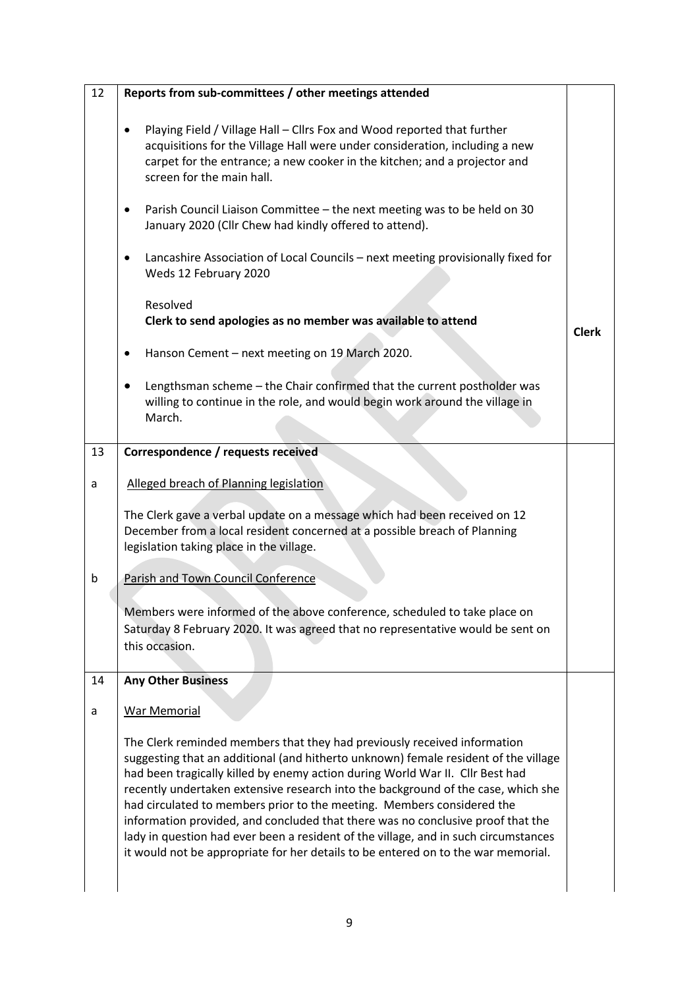| 12 | Reports from sub-committees / other meetings attended                                                                                                                                                                                                                                                                                                                                                                                                                                                                                                                                                                                                                          |              |
|----|--------------------------------------------------------------------------------------------------------------------------------------------------------------------------------------------------------------------------------------------------------------------------------------------------------------------------------------------------------------------------------------------------------------------------------------------------------------------------------------------------------------------------------------------------------------------------------------------------------------------------------------------------------------------------------|--------------|
|    | Playing Field / Village Hall - Cllrs Fox and Wood reported that further<br>٠<br>acquisitions for the Village Hall were under consideration, including a new<br>carpet for the entrance; a new cooker in the kitchen; and a projector and<br>screen for the main hall.                                                                                                                                                                                                                                                                                                                                                                                                          |              |
|    | Parish Council Liaison Committee - the next meeting was to be held on 30<br>January 2020 (Cllr Chew had kindly offered to attend).                                                                                                                                                                                                                                                                                                                                                                                                                                                                                                                                             |              |
|    | Lancashire Association of Local Councils - next meeting provisionally fixed for<br>٠<br>Weds 12 February 2020                                                                                                                                                                                                                                                                                                                                                                                                                                                                                                                                                                  |              |
|    | Resolved<br>Clerk to send apologies as no member was available to attend                                                                                                                                                                                                                                                                                                                                                                                                                                                                                                                                                                                                       | <b>Clerk</b> |
|    | Hanson Cement - next meeting on 19 March 2020.<br>٠                                                                                                                                                                                                                                                                                                                                                                                                                                                                                                                                                                                                                            |              |
|    | Lengthsman scheme - the Chair confirmed that the current postholder was<br>willing to continue in the role, and would begin work around the village in<br>March.                                                                                                                                                                                                                                                                                                                                                                                                                                                                                                               |              |
| 13 | Correspondence / requests received                                                                                                                                                                                                                                                                                                                                                                                                                                                                                                                                                                                                                                             |              |
| a  | Alleged breach of Planning legislation                                                                                                                                                                                                                                                                                                                                                                                                                                                                                                                                                                                                                                         |              |
|    | The Clerk gave a verbal update on a message which had been received on 12<br>December from a local resident concerned at a possible breach of Planning<br>legislation taking place in the village.                                                                                                                                                                                                                                                                                                                                                                                                                                                                             |              |
| b  | Parish and Town Council Conference                                                                                                                                                                                                                                                                                                                                                                                                                                                                                                                                                                                                                                             |              |
|    | Members were informed of the above conference, scheduled to take place on<br>Saturday 8 February 2020. It was agreed that no representative would be sent on<br>this occasion.                                                                                                                                                                                                                                                                                                                                                                                                                                                                                                 |              |
| 14 | <b>Any Other Business</b>                                                                                                                                                                                                                                                                                                                                                                                                                                                                                                                                                                                                                                                      |              |
| a  | War Memorial                                                                                                                                                                                                                                                                                                                                                                                                                                                                                                                                                                                                                                                                   |              |
|    | The Clerk reminded members that they had previously received information<br>suggesting that an additional (and hitherto unknown) female resident of the village<br>had been tragically killed by enemy action during World War II. Cllr Best had<br>recently undertaken extensive research into the background of the case, which she<br>had circulated to members prior to the meeting. Members considered the<br>information provided, and concluded that there was no conclusive proof that the<br>lady in question had ever been a resident of the village, and in such circumstances<br>it would not be appropriate for her details to be entered on to the war memorial. |              |